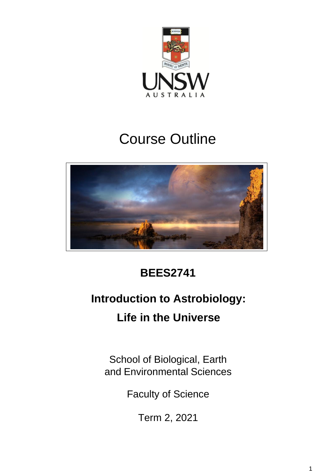

# Course Outline



## **BEES2741**

## **Introduction to Astrobiology: Life in the Universe**

School of Biological, Earth and Environmental Sciences

Faculty of Science

Term 2, 2021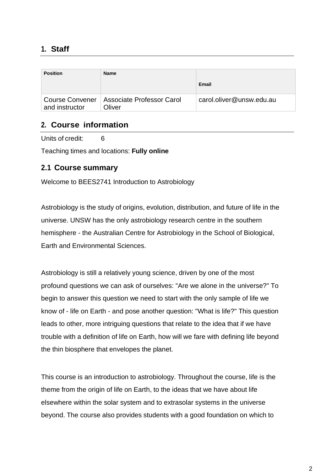## **1. Staff**

| <b>Position</b> | Name                                                  |                          |
|-----------------|-------------------------------------------------------|--------------------------|
|                 |                                                       | Email                    |
| and instructor  | Course Convener   Associate Professor Carol<br>Oliver | carol.oliver@unsw.edu.au |

#### **2. Course information**

Units of credit: 6

Teaching times and locations: **Fully online**

#### **2.1 Course summary**

Welcome to BEES2741 Introduction to Astrobiology

Astrobiology is the study of origins, evolution, distribution, and future of life in the universe. UNSW has the only astrobiology research centre in the southern hemisphere - the Australian Centre for Astrobiology in the School of Biological, Earth and Environmental Sciences.

Astrobiology is still a relatively young science, driven by one of the most profound questions we can ask of ourselves: "Are we alone in the universe?" To begin to answer this question we need to start with the only sample of life we know of - life on Earth - and pose another question: "What is life?" This question leads to other, more intriguing questions that relate to the idea that if we have trouble with a definition of life on Earth, how will we fare with defining life beyond the thin biosphere that envelopes the planet.

This course is an introduction to astrobiology. Throughout the course, life is the theme from the origin of life on Earth, to the ideas that we have about life elsewhere within the solar system and to extrasolar systems in the universe beyond. The course also provides students with a good foundation on which to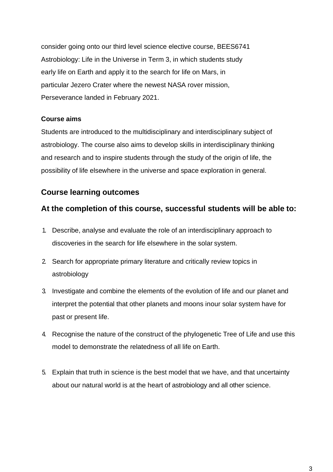consider going onto our third level science elective course, BEES6741 Astrobiology: Life in the Universe in Term 3, in which students study early life on Earth and apply it to the search for life on Mars, in particular Jezero Crater where the newest NASA rover mission, Perseverance landed in February 2021.

#### **Course aims**

Students are introduced to the multidisciplinary and interdisciplinary subject of astrobiology. The course also aims to develop skills in interdisciplinary thinking and research and to inspire students through the study of the origin of life, the possibility of life elsewhere in the universe and space exploration in general.

## **Course learning outcomes**

### **At the completion of this course, successful students will be able to:**

- 1. Describe, analyse and evaluate the role of an interdisciplinary approach to discoveries in the search for life elsewhere in the solar system.
- 2. Search for appropriate primary literature and critically review topics in astrobiology
- 3. Investigate and combine the elements of the evolution of life and our planet and interpret the potential that other planets and moons inour solar system have for past or present life.
- 4. Recognise the nature of the construct of the phylogenetic Tree of Life and use this model to demonstrate the relatedness of all life on Earth.
- 5. Explain that truth in science is the best model that we have, and that uncertainty about our natural world is at the heart of astrobiology and all other science.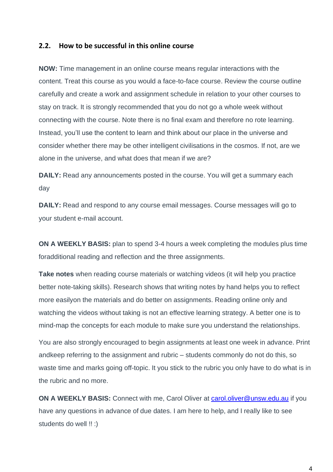#### **2.2. How to be successful in this online course**

**NOW:** Time management in an online course means regular interactions with the content. Treat this course as you would a face-to-face course. Review the course outline carefully and create a work and assignment schedule in relation to your other courses to stay on track. It is strongly recommended that you do not go a whole week without connecting with the course. Note there is no final exam and therefore no rote learning. Instead, you'll use the content to learn and think about our place in the universe and consider whether there may be other intelligent civilisations in the cosmos. If not, are we alone in the universe, and what does that mean if we are?

**DAILY:** Read any announcements posted in the course. You will get a summary each day

**DAILY:** Read and respond to any course email messages. Course messages will go to your student e-mail account.

**ON A WEEKLY BASIS:** plan to spend 3-4 hours a week completing the modules plus time foradditional reading and reflection and the three assignments.

**Take notes** when reading course materials or watching videos (it will help you practice better note-taking skills). Research shows that writing notes by hand helps you to reflect more easilyon the materials and do better on assignments. Reading online only and watching the videos without taking is not an effective learning strategy. A better one is to mind-map the concepts for each module to make sure you understand the relationships.

You are also strongly encouraged to begin assignments at least one week in advance. Print andkeep referring to the assignment and rubric – students commonly do not do this, so waste time and marks going off-topic. It you stick to the rubric you only have to do what is in the rubric and no more.

**ON A WEEKLY BASIS:** Connect with me, Carol Oliver at [carol.oliver@unsw.edu.au](mailto:carol.oliver@unsw.edu.au) if you have any questions in advance of due dates. I am here to help, and I really like to see students do well !! :)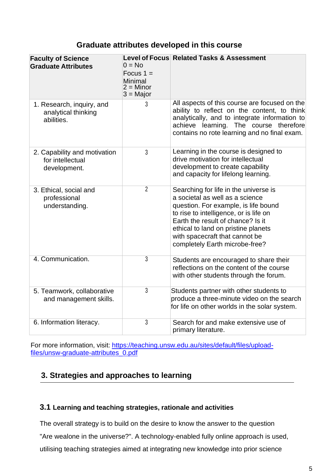#### **Graduate attributes developed in this course**

| <b>Faculty of Science</b><br><b>Graduate Attributes</b>          | $0 = No$<br>Focus $1 =$<br>Minimal<br>$2 =$ Minor<br>$3 =$ Major | <b>Level of Focus Related Tasks &amp; Assessment</b>                                                                                                                                                                                                                                                       |
|------------------------------------------------------------------|------------------------------------------------------------------|------------------------------------------------------------------------------------------------------------------------------------------------------------------------------------------------------------------------------------------------------------------------------------------------------------|
| 1. Research, inquiry, and<br>analytical thinking<br>abilities.   | 3                                                                | All aspects of this course are focused on the<br>ability to reflect on the content, to think<br>analytically, and to integrate information to<br>achieve learning. The course therefore<br>contains no rote learning and no final exam.                                                                    |
| 2. Capability and motivation<br>for intellectual<br>development. | 3                                                                | Learning in the course is designed to<br>drive motivation for intellectual<br>development to create capability<br>and capacity for lifelong learning.                                                                                                                                                      |
| 3. Ethical, social and<br>professional<br>understanding.         | $\overline{2}$                                                   | Searching for life in the universe is<br>a societal as well as a science<br>question. For example, is life bound<br>to rise to intelligence, or is life on<br>Earth the result of chance? Is it<br>ethical to land on pristine planets<br>with spacecraft that cannot be<br>completely Earth microbe-free? |
| 4. Communication.                                                | $\overline{3}$                                                   | Students are encouraged to share their<br>reflections on the content of the course<br>with other students through the forum.                                                                                                                                                                               |
| 5. Teamwork, collaborative<br>and management skills.             | 3                                                                | Students partner with other students to<br>produce a three-minute video on the search<br>for life on other worlds in the solar system.                                                                                                                                                                     |
| 6. Information literacy.                                         | 3                                                                | Search for and make extensive use of<br>primary literature.                                                                                                                                                                                                                                                |

For more information, visit: [https://teaching.unsw.edu.au/sites/default/files/upload](https://teaching.unsw.edu.au/sites/default/files/upload-files/unsw-graduate-attributes_0.pdf)[files/unsw-graduate-attributes\\_0.pdf](https://teaching.unsw.edu.au/sites/default/files/upload-files/unsw-graduate-attributes_0.pdf)

## **3. Strategies and approaches to learning**

#### **3.1 Learning and teaching strategies, rationale and activities**

The overall strategy is to build on the desire to know the answer to the question

"Are wealone in the universe?". A technology-enabled fully online approach is used,

utilising teaching strategies aimed at integrating new knowledge into prior science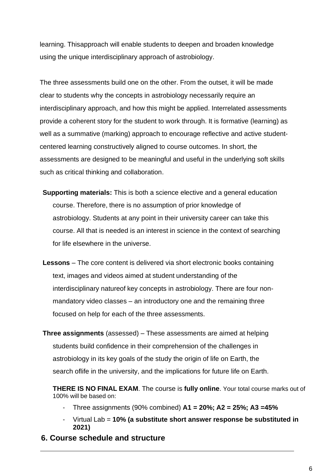learning. Thisapproach will enable students to deepen and broaden knowledge using the unique interdisciplinary approach of astrobiology.

The three assessments build one on the other. From the outset, it will be made clear to students why the concepts in astrobiology necessarily require an interdisciplinary approach, and how this might be applied. Interrelated assessments provide a coherent story for the student to work through. It is formative (learning) as well as a summative (marking) approach to encourage reflective and active studentcentered learning constructively aligned to course outcomes. In short, the assessments are designed to be meaningful and useful in the underlying soft skills such as critical thinking and collaboration.

- **Supporting materials:** This is both a science elective and a general education course. Therefore, there is no assumption of prior knowledge of astrobiology. Students at any point in their university career can take this course. All that is needed is an interest in science in the context of searching for life elsewhere in the universe.
- **Lessons**  The core content is delivered via short electronic books containing text, images and videos aimed at student understanding of the interdisciplinary natureof key concepts in astrobiology. There are four nonmandatory video classes – an introductory one and the remaining three focused on help for each of the three assessments.
- **Three assignments** (assessed) These assessments are aimed at helping students build confidence in their comprehension of the challenges in astrobiology in its key goals of the study the origin of life on Earth, the search oflife in the university, and the implications for future life on Earth.

**THERE IS NO FINAL EXAM**. The course is **fully online**. Your total course marks out of 100% will be based on:

- Three assignments (90% combined) **A1 = 20%; A2 = 25%; A3 =45%**
- Virtual Lab = **10% (a substitute short answer response be substituted in 2021)**
- **6. Course schedule and structure**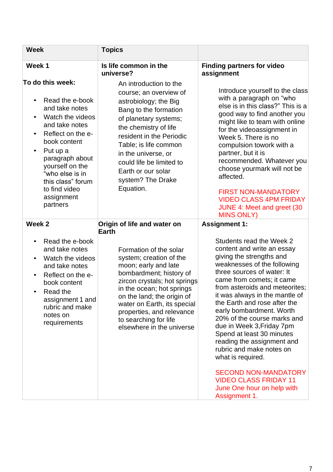| <b>Week</b>                                                                                                                                                                                                                                                                                                               | <b>Topics</b>                                                                                                                                                                                                                                                                                                        |                                                                                                                                                                                                                                                                                                                                                                                                                                                                                                                                                                                                    |
|---------------------------------------------------------------------------------------------------------------------------------------------------------------------------------------------------------------------------------------------------------------------------------------------------------------------------|----------------------------------------------------------------------------------------------------------------------------------------------------------------------------------------------------------------------------------------------------------------------------------------------------------------------|----------------------------------------------------------------------------------------------------------------------------------------------------------------------------------------------------------------------------------------------------------------------------------------------------------------------------------------------------------------------------------------------------------------------------------------------------------------------------------------------------------------------------------------------------------------------------------------------------|
| Week 1                                                                                                                                                                                                                                                                                                                    | Is life common in the<br>universe?                                                                                                                                                                                                                                                                                   | <b>Finding partners for video</b><br>assignment                                                                                                                                                                                                                                                                                                                                                                                                                                                                                                                                                    |
| To do this week:<br>Read the e-book<br>$\bullet$<br>and take notes<br>Watch the videos<br>$\bullet$<br>and take notes<br>Reflect on the e-<br>$\bullet$<br>book content<br>Put up a<br>$\bullet$<br>paragraph about<br>yourself on the<br>"who else is in<br>this class" forum<br>to find video<br>assignment<br>partners | An introduction to the<br>course; an overview of<br>astrobiology; the Big<br>Bang to the formation<br>of planetary systems;<br>the chemistry of life<br>resident in the Periodic<br>Table; is life common<br>in the universe, or<br>could life be limited to<br>Earth or our solar<br>system? The Drake<br>Equation. | Introduce yourself to the class<br>with a paragraph on "who<br>else is in this class?" This is a<br>good way to find another you<br>might like to team with online<br>for the videoassignment in<br>Week 5. There is no<br>compulsion towork with a<br>partner, but it is<br>recommended. Whatever you<br>choose yourmark will not be<br>affected.<br><b>FIRST NON-MANDATORY</b><br><b>VIDEO CLASS 4PM FRIDAY</b><br>JUNE 4: Meet and greet (30<br><b>MINS ONLY)</b>                                                                                                                               |
| Week 2                                                                                                                                                                                                                                                                                                                    | Origin of life and water on<br><b>Earth</b>                                                                                                                                                                                                                                                                          | <b>Assignment 1:</b>                                                                                                                                                                                                                                                                                                                                                                                                                                                                                                                                                                               |
| Read the e-book<br>$\bullet$<br>and take notes<br>Watch the videos<br>$\bullet$<br>and take notes<br>Reflect on the e-<br>$\bullet$<br>book content<br>Read the<br>$\bullet$<br>assignment 1 and<br>rubric and make<br>notes on<br>requirements                                                                           | Formation of the solar<br>system; creation of the<br>moon; early and late<br>bombardment; history of<br>zircon crystals; hot springs<br>in the ocean; hot springs<br>on the land; the origin of<br>water on Earth, its special<br>properties, and relevance<br>to searching for life<br>elsewhere in the universe    | Students read the Week 2<br>content and write an essay<br>giving the strengths and<br>weaknesses of the following<br>three sources of water: It<br>came from comets; it came<br>from asteroids and meteorites;<br>it was always in the mantle of<br>the Earth and rose after the<br>early bombardment. Worth<br>20% of the course marks and<br>due in Week 3, Friday 7pm<br>Spend at least 30 minutes<br>reading the assignment and<br>rubric and make notes on<br>what is required.<br><b>SECOND NON-MANDATORY</b><br><b>VIDEO CLASS FRIDAY 11</b><br>June One hour on help with<br>Assignment 1. |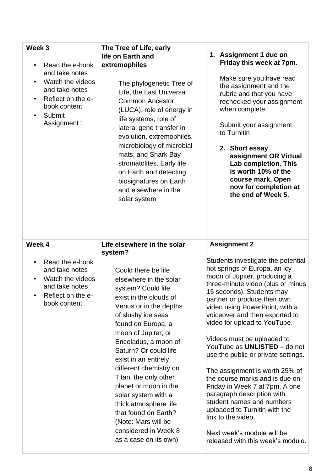| Week <sub>3</sub><br>Read the e-book<br>$\bullet$<br>and take notes<br>Watch the videos<br>$\bullet$<br>and take notes<br>Reflect on the e-<br>$\bullet$<br>book content<br>Submit<br>$\bullet$<br>Assignment 1 | The Tree of Life, early<br>life on Earth and<br>extremophiles<br>The phylogenetic Tree of<br>Life, the Last Universal<br><b>Common Ancestor</b><br>(LUCA), role of energy in<br>life systems, role of<br>lateral gene transfer in<br>evolution, extremophiles,<br>microbiology of microbial<br>mats, and Shark Bay<br>stromatolites. Early life<br>on Earth and detecting<br>biosignatures on Earth<br>and elsewhere in the<br>solar system                                                     | 1. Assignment 1 due on<br>Friday this week at 7pm.<br>Make sure you have read<br>the assignment and the<br>rubric and that you have<br>rechecked your assignment<br>when complete.<br>Submit your assignment<br>to Turnitin<br>2. Short essay<br>assignment OR Virtual<br>Lab completion. This<br>is worth 10% of the<br>course mark. Open<br>now for completion at<br>the end of Week 5.                                                                                                                                                                                                                                                                                                                 |
|-----------------------------------------------------------------------------------------------------------------------------------------------------------------------------------------------------------------|-------------------------------------------------------------------------------------------------------------------------------------------------------------------------------------------------------------------------------------------------------------------------------------------------------------------------------------------------------------------------------------------------------------------------------------------------------------------------------------------------|-----------------------------------------------------------------------------------------------------------------------------------------------------------------------------------------------------------------------------------------------------------------------------------------------------------------------------------------------------------------------------------------------------------------------------------------------------------------------------------------------------------------------------------------------------------------------------------------------------------------------------------------------------------------------------------------------------------|
| Week 4                                                                                                                                                                                                          | Life elsewhere in the solar<br>system?                                                                                                                                                                                                                                                                                                                                                                                                                                                          | <b>Assignment 2</b>                                                                                                                                                                                                                                                                                                                                                                                                                                                                                                                                                                                                                                                                                       |
| Read the e-book<br>and take notes<br>Watch the videos<br>and take notes<br>Reflect on the e-<br>book content                                                                                                    | Could there be life<br>elsewhere in the solar<br>system? Could life<br>exist in the clouds of<br>Venus or in the depths<br>of slushy ice seas<br>found on Europa, a<br>moon of Jupiter, or<br>Enceladus, a moon of<br>Saturn? Or could life<br>exist in an entirely<br>different chemistry on<br>Titan, the only other<br>planet or moon in the<br>solar system with a<br>thick atmosphere life<br>that found on Earth?<br>(Note: Mars will be<br>considered in Week 8<br>as a case on its own) | Students investigate the potential<br>hot springs of Europa, an icy<br>moon of Jupiter, producing a<br>three-minute video (plus or minus<br>15 seconds). Students may<br>partner or produce their own<br>video using PowerPoint, with a<br>voiceover and then exported to<br>video for upload to YouTube.<br>Videos must be uploaded to<br>YouTube as UNLISTED - do not<br>use the public or private settings.<br>The assignment is worth 25% of<br>the course marks and is due on<br>Friday in Week 7 at 7pm. A one<br>paragraph description with<br>student names and numbers<br>uploaded to Turnitin with the<br>link to the video.<br>Next week's module will be<br>released with this week's module. |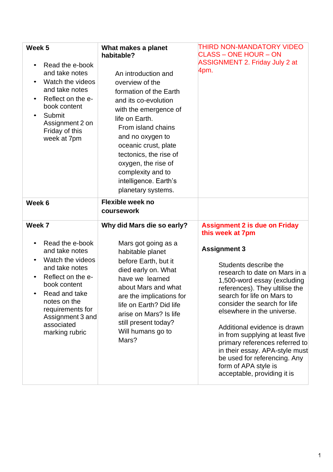| Week 5<br>Read the e-book<br>and take notes<br>Watch the videos<br>and take notes<br>Reflect on the e-<br>book content<br>Submit<br>Assignment 2 on<br>Friday of this<br>week at 7pm                                            | What makes a planet<br>habitable?<br>An introduction and<br>overview of the<br>formation of the Earth<br>and its co-evolution<br>with the emergence of<br>life on Earth.<br>From island chains<br>and no oxygen to<br>oceanic crust, plate<br>tectonics, the rise of<br>oxygen, the rise of<br>complexity and to<br>intelligence. Earth's<br>planetary systems. | THIRD NON-MANDATORY VIDEO<br><b>CLASS - ONE HOUR - ON</b><br><b>ASSIGNMENT 2. Friday July 2 at</b><br>4pm.                                                                                                                                                                                                                                                                                                                                                                                                                           |
|---------------------------------------------------------------------------------------------------------------------------------------------------------------------------------------------------------------------------------|-----------------------------------------------------------------------------------------------------------------------------------------------------------------------------------------------------------------------------------------------------------------------------------------------------------------------------------------------------------------|--------------------------------------------------------------------------------------------------------------------------------------------------------------------------------------------------------------------------------------------------------------------------------------------------------------------------------------------------------------------------------------------------------------------------------------------------------------------------------------------------------------------------------------|
| Week 6                                                                                                                                                                                                                          | <b>Flexible week no</b><br>coursework                                                                                                                                                                                                                                                                                                                           |                                                                                                                                                                                                                                                                                                                                                                                                                                                                                                                                      |
| Week 7<br>Read the e-book<br>and take notes<br>Watch the videos<br>and take notes<br>Reflect on the e-<br>book content<br>Read and take<br>notes on the<br>requirements for<br>Assignment 3 and<br>associated<br>marking rubric | Why did Mars die so early?<br>Mars got going as a<br>habitable planet<br>before Earth, but it<br>died early on. What<br>have we learned<br>about Mars and what<br>are the implications for<br>life on Earth? Did life<br>arise on Mars? Is life<br>still present today?<br>Will humans go to<br>Mars?                                                           | <b>Assignment 2 is due on Friday</b><br>this week at 7pm<br><b>Assignment 3</b><br>Students describe the<br>research to date on Mars in a<br>1,500-word essay (excluding<br>references). They ultilise the<br>search for life on Mars to<br>consider the search for life<br>elsewhere in the universe.<br>Additional evidence is drawn<br>in from supplying at least five<br>primary references referred to<br>in their essay. APA-style must<br>be used for referencing. Any<br>form of APA style is<br>acceptable, providing it is |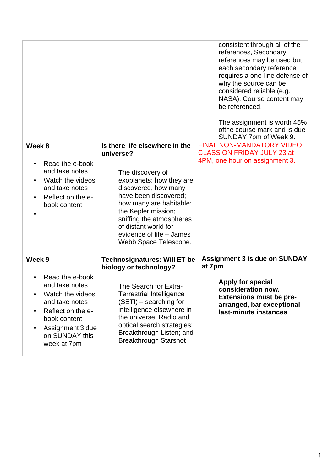|                                    |                                                               | consistent through all of the<br>references, Secondary<br>references may be used but<br>each secondary reference<br>requires a one-line defense of<br>why the source can be<br>considered reliable (e.g.<br>NASA). Course content may<br>be referenced.<br>The assignment is worth 45%<br>ofthe course mark and is due<br>SUNDAY 7pm of Week 9. |
|------------------------------------|---------------------------------------------------------------|-------------------------------------------------------------------------------------------------------------------------------------------------------------------------------------------------------------------------------------------------------------------------------------------------------------------------------------------------|
| Week 8                             | Is there life elsewhere in the                                | <b>FINAL NON-MANDATORY VIDEO</b>                                                                                                                                                                                                                                                                                                                |
|                                    | universe?                                                     | <b>CLASS ON FRIDAY JULY 23 at</b>                                                                                                                                                                                                                                                                                                               |
| Read the e-book                    |                                                               | 4PM, one hour on assignment 3.                                                                                                                                                                                                                                                                                                                  |
| and take notes                     | The discovery of                                              |                                                                                                                                                                                                                                                                                                                                                 |
| Watch the videos                   | exoplanets; how they are                                      |                                                                                                                                                                                                                                                                                                                                                 |
| and take notes                     | discovered, how many                                          |                                                                                                                                                                                                                                                                                                                                                 |
| Reflect on the e-<br>$\bullet$     | have been discovered;<br>how many are habitable;              |                                                                                                                                                                                                                                                                                                                                                 |
| book content                       | the Kepler mission;                                           |                                                                                                                                                                                                                                                                                                                                                 |
|                                    | sniffing the atmospheres                                      |                                                                                                                                                                                                                                                                                                                                                 |
|                                    | of distant world for                                          |                                                                                                                                                                                                                                                                                                                                                 |
|                                    | evidence of life - James                                      |                                                                                                                                                                                                                                                                                                                                                 |
|                                    | Webb Space Telescope.                                         |                                                                                                                                                                                                                                                                                                                                                 |
| Week 9                             | <b>Technosignatures: Will ET be</b><br>biology or technology? | <b>Assignment 3 is due on SUNDAY</b><br>at 7pm                                                                                                                                                                                                                                                                                                  |
| Read the e-book                    |                                                               |                                                                                                                                                                                                                                                                                                                                                 |
| and take notes                     | The Search for Extra-                                         | Apply for special<br>consideration now.                                                                                                                                                                                                                                                                                                         |
| Watch the videos                   | <b>Terrestrial Intelligence</b>                               | <b>Extensions must be pre-</b>                                                                                                                                                                                                                                                                                                                  |
| and take notes                     | (SETI) - searching for                                        | arranged, bar exceptional                                                                                                                                                                                                                                                                                                                       |
| Reflect on the e-                  | intelligence elsewhere in<br>the universe. Radio and          | last-minute instances                                                                                                                                                                                                                                                                                                                           |
| book content                       | optical search strategies;                                    |                                                                                                                                                                                                                                                                                                                                                 |
| Assignment 3 due<br>on SUNDAY this | Breakthrough Listen; and                                      |                                                                                                                                                                                                                                                                                                                                                 |
| week at 7pm                        | <b>Breakthrough Starshot</b>                                  |                                                                                                                                                                                                                                                                                                                                                 |
|                                    |                                                               |                                                                                                                                                                                                                                                                                                                                                 |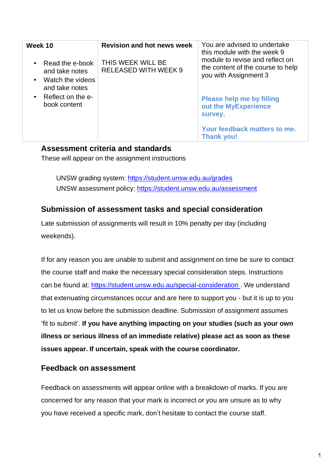| Week 10                                                                                                          | <b>Revision and hot news week</b>                | You are advised to undertake<br>this module with the week 9                                                                                                                                                               |
|------------------------------------------------------------------------------------------------------------------|--------------------------------------------------|---------------------------------------------------------------------------------------------------------------------------------------------------------------------------------------------------------------------------|
| Read the e-book<br>and take notes<br>• Watch the videos<br>and take notes<br>• Reflect on the e-<br>book content | THIS WEEK WILL BE<br><b>RELEASED WITH WEEK 9</b> | module to revise and reflect on<br>the content of the course to help<br>you with Assignment 3<br><b>Please help me by filling</b><br>out the MyExperience<br>survey.<br>Your feedback matters to me.<br><b>Thank you!</b> |

#### **Assessment criteria and standards**

These will appear on the assignment instructions

UNSW grading system: https://student.unsw.edu.au/grades UNSW assessment policy: https://student.unsw.edu.au/assessment

### **Submission of assessment tasks and special consideration**

Late submission of assignments will result in 10% penalty per day (including weekends).

If for any reason you are unable to submit and assignment on time be sure to contact the course staff and make the necessary special consideration steps. Instructions can be found at: https://student.unsw.edu.au/special-consideration . We understand that extenuating circumstances occur and are here to support you - but it is up to you to let us know before the submission deadline. Submission of assignment assumes 'fit to submit'. **If you have anything impacting on your studies (such as your own illness or serious illness of an immediate relative) please act as soon as these issues appear. If uncertain, speak with the course coordinator.**

#### **Feedback on assessment**

Feedback on assessments will appear online with a breakdown of marks. If you are concerned for any reason that your mark is incorrect or you are unsure as to why you have received a specific mark, don't hesitate to contact the course staff.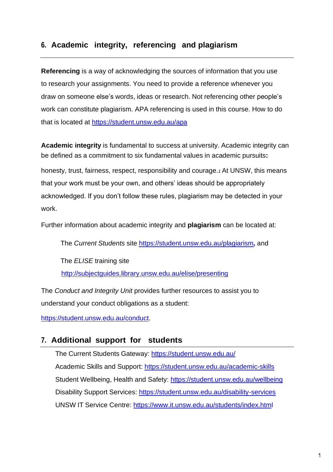## **6. Academic integrity, referencing and plagiarism**

**Referencing** is a way of acknowledging the sources of information that you use to research your assignments. You need to provide a reference whenever you draw on someone else's words, ideas or research. Not referencing other people's work can constitute plagiarism. APA referencing is used in this course. How to do that is located at<https://student.unsw.edu.au/apa>

**Academic integrity** is fundamental to success at university. Academic integrity can be defined as a commitment to six fundamental values in academic pursuits**:**

honesty, trust, fairness, respect, responsibility and courage.*1* At UNSW, this means that your work must be your own, and others' ideas should be appropriately acknowledged. If you don't follow these rules, plagiarism may be detected in your work.

Further information about academic integrity and **plagiarism** can be located at:

The *Current Students* site https://student.unsw.edu.au/plagiarism*,* and

The *ELISE* training site <http://subjectguides.library.unsw.edu.au/elise/presenting>

The *Conduct and Integrity Unit* provides further resources to assist you to understand your conduct obligations as a student:

https://student.unsw.edu.au/conduct.

#### **7. Additional support for students**

The Current Students Gateway: https://student.unsw.edu.au/ Academic Skills and Support: https://student.unsw.edu.au/academic-skills Student Wellbeing, Health and Safety: https://student.unsw.edu.au/wellbeing Disability Support Services: https://student.unsw.edu.au/disability-services UNSW IT Service Centre: https:/[/www.it.unsw.edu.au/students/index.html](http://www.it.unsw.edu.au/students/index.html)